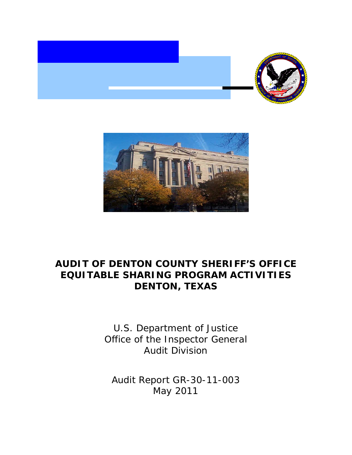



# **AUDIT OF DENTON COUNTY SHERIFF'S OFFICE EQUITABLE SHARING PROGRAM ACTIVITIES DENTON, TEXAS**

U.S. Department of Justice Office of the Inspector General Audit Division

Audit Report GR-30-11-003 May 2011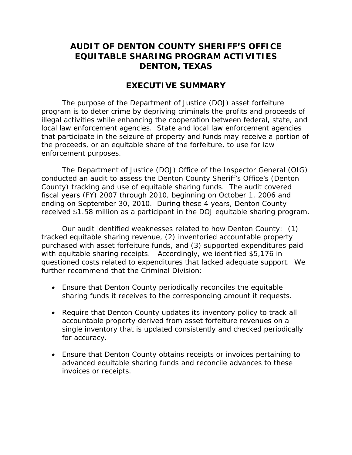## **AUDIT OF DENTON COUNTY SHERIFF'S OFFICE EQUITABLE SHARING PROGRAM ACTIVITIES DENTON, TEXAS**

### **EXECUTIVE SUMMARY**

The purpose of the Department of Justice (DOJ) asset forfeiture program is to deter crime by depriving criminals the profits and proceeds of illegal activities while enhancing the cooperation between federal, state, and local law enforcement agencies. State and local law enforcement agencies that participate in the seizure of property and funds may receive a portion of the proceeds, or an equitable share of the forfeiture, to use for law enforcement purposes.

The Department of Justice (DOJ) Office of the Inspector General (OIG) conducted an audit to assess the Denton County Sheriff's Office's (Denton County) tracking and use of equitable sharing funds. The audit covered fiscal years (FY) 2007 through 2010, beginning on October 1, 2006 and ending on September 30, 2010. During these 4 years, Denton County received \$1.58 million as a participant in the DOJ equitable sharing program.

Our audit identified weaknesses related to how Denton County: (1) tracked equitable sharing revenue, (2) inventoried accountable property purchased with asset forfeiture funds, and (3) supported expenditures paid with equitable sharing receipts. Accordingly, we identified \$5,176 in questioned costs related to expenditures that lacked adequate support. We further recommend that the Criminal Division:

- Ensure that Denton County periodically reconciles the equitable sharing funds it receives to the corresponding amount it requests.
- Require that Denton County updates its inventory policy to track all accountable property derived from asset forfeiture revenues on a single inventory that is updated consistently and checked periodically for accuracy.
- Ensure that Denton County obtains receipts or invoices pertaining to advanced equitable sharing funds and reconcile advances to these invoices or receipts.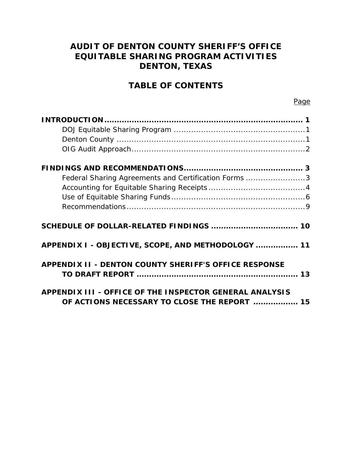## **AUDIT OF DENTON COUNTY SHERIFF'S OFFICE EQUITABLE SHARING PROGRAM ACTIVITIES DENTON, TEXAS**

## **TABLE OF CONTENTS**

| Federal Sharing Agreements and Certification Forms 3                                                    |
|---------------------------------------------------------------------------------------------------------|
|                                                                                                         |
|                                                                                                         |
|                                                                                                         |
|                                                                                                         |
| APPENDIX I - OBJECTIVE, SCOPE, AND METHODOLOGY  11                                                      |
| <b>APPENDIX II - DENTON COUNTY SHERIFF'S OFFICE RESPONSE</b>                                            |
| APPENDIX III - OFFICE OF THE INSPECTOR GENERAL ANALYSIS<br>OF ACTIONS NECESSARY TO CLOSE THE REPORT  15 |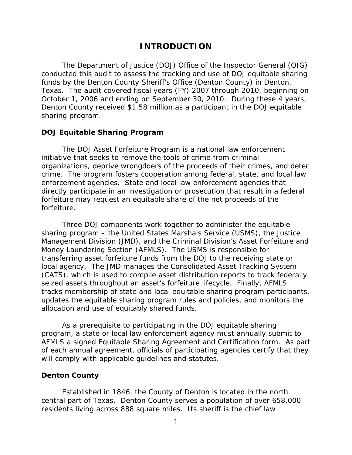### **INTRODUCTION**

The Department of Justice (DOJ) Office of the Inspector General (OIG) conducted this audit to assess the tracking and use of DOJ equitable sharing funds by the Denton County Sheriff's Office (Denton County) in Denton, Texas. The audit covered fiscal years (FY) 2007 through 2010, beginning on October 1, 2006 and ending on September 30, 2010. During these 4 years, Denton County received \$1.58 million as a participant in the DOJ equitable sharing program.

#### **DOJ Equitable Sharing Program**

The DOJ Asset Forfeiture Program is a national law enforcement initiative that seeks to remove the tools of crime from criminal organizations, deprive wrongdoers of the proceeds of their crimes, and deter crime. The program fosters cooperation among federal, state, and local law enforcement agencies. State and local law enforcement agencies that directly participate in an investigation or prosecution that result in a federal forfeiture may request an equitable share of the net proceeds of the forfeiture.

Three DOJ components work together to administer the equitable sharing program – the United States Marshals Service (USMS), the Justice Management Division (JMD), and the Criminal Division's Asset Forfeiture and Money Laundering Section (AFMLS). The USMS is responsible for transferring asset forfeiture funds from the DOJ to the receiving state or local agency. The JMD manages the Consolidated Asset Tracking System (CATS), which is used to compile asset distribution reports to track federally seized assets throughout an asset's forfeiture lifecycle. Finally, AFMLS tracks membership of state and local equitable sharing program participants, updates the equitable sharing program rules and policies, and monitors the allocation and use of equitably shared funds.

As a prerequisite to participating in the DOJ equitable sharing program, a state or local law enforcement agency must annually submit to AFMLS a signed Equitable Sharing Agreement and Certification form. As part of each annual agreement, officials of participating agencies certify that they will comply with applicable guidelines and statutes.

#### **Denton County**

Established in 1846, the County of Denton is located in the north central part of Texas. Denton County serves a population of over 658,000 residents living across 888 square miles. Its sheriff is the chief law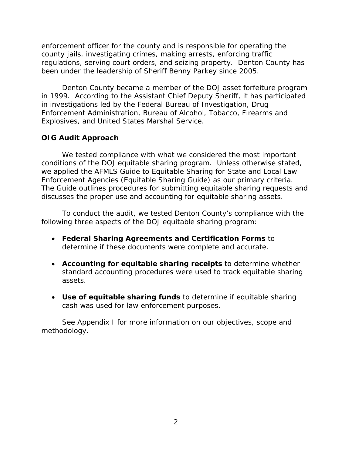enforcement officer for the county and is responsible for operating the county jails, investigating crimes, making arrests, enforcing traffic regulations, serving court orders, and seizing property. Denton County has been under the leadership of Sheriff Benny Parkey since 2005.

Denton County became a member of the DOJ asset forfeiture program in 1999. According to the Assistant Chief Deputy Sheriff, it has participated in investigations led by the Federal Bureau of Investigation, Drug Enforcement Administration, Bureau of Alcohol, Tobacco, Firearms and Explosives, and United States Marshal Service.

#### **OIG Audit Approach**

We tested compliance with what we considered the most important conditions of the DOJ equitable sharing program. Unless otherwise stated, we applied the AFMLS *Guide to Equitable Sharing for State and Local Law Enforcement Agencies (Equitable Sharing Guide)* as our primary criteria. The Guide outlines procedures for submitting equitable sharing requests and discusses the proper use and accounting for equitable sharing assets.

To conduct the audit, we tested Denton County's compliance with the following three aspects of the DOJ equitable sharing program:

- **Federal Sharing Agreements and Certification Forms** to determine if these documents were complete and accurate.
- **Accounting for equitable sharing receipts** to determine whether standard accounting procedures were used to track equitable sharing assets.
- **Use of equitable sharing funds** to determine if equitable sharing cash was used for law enforcement purposes.

See Appendix I for more information on our objectives, scope and methodology.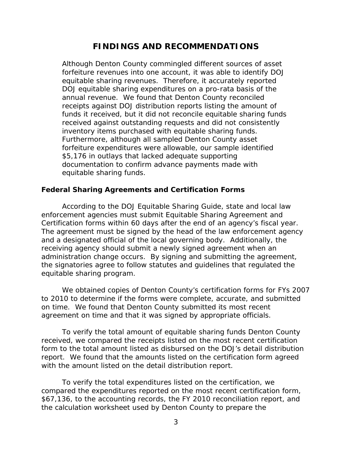### **FINDINGS AND RECOMMENDATIONS**

Although Denton County commingled different sources of asset forfeiture revenues into one account, it was able to identify DOJ equitable sharing revenues. Therefore, it accurately reported DOJ equitable sharing expenditures on a pro-rata basis of the annual revenue. We found that Denton County reconciled receipts against DOJ distribution reports listing the amount of funds it received, but it did not reconcile equitable sharing funds received against outstanding requests and did not consistently inventory items purchased with equitable sharing funds. Furthermore, although all sampled Denton County asset forfeiture expenditures were allowable, our sample identified \$5,176 in outlays that lacked adequate supporting documentation to confirm advance payments made with equitable sharing funds.

#### **Federal Sharing Agreements and Certification Forms**

According to the DOJ Equitable Sharing Guide, state and local law enforcement agencies must submit Equitable Sharing Agreement and Certification forms within 60 days after the end of an agency's fiscal year. The agreement must be signed by the head of the law enforcement agency and a designated official of the local governing body. Additionally, the receiving agency should submit a newly signed agreement when an administration change occurs. By signing and submitting the agreement, the signatories agree to follow statutes and guidelines that regulated the equitable sharing program.

We obtained copies of Denton County's certification forms for FYs 2007 to 2010 to determine if the forms were complete, accurate, and submitted on time. We found that Denton County submitted its most recent agreement on time and that it was signed by appropriate officials.

To verify the total amount of equitable sharing funds Denton County received, we compared the receipts listed on the most recent certification form to the total amount listed as disbursed on the DOJ's detail distribution report. We found that the amounts listed on the certification form agreed with the amount listed on the detail distribution report.

To verify the total expenditures listed on the certification, we compared the expenditures reported on the most recent certification form, \$67,136, to the accounting records, the FY 2010 reconciliation report, and the calculation worksheet used by Denton County to prepare the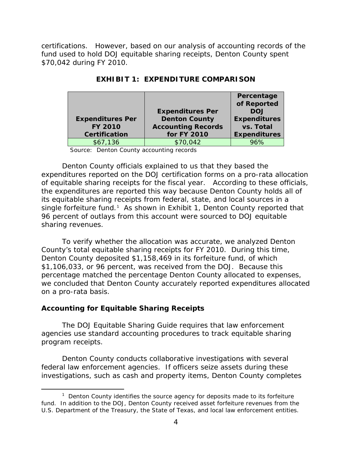certifications. However, based on our analysis of accounting records of the fund used to hold DOJ equitable sharing receipts, Denton County spent \$70,042 during FY 2010.

|                         |                           | Percentage          |
|-------------------------|---------------------------|---------------------|
|                         |                           | of Reported         |
|                         | <b>Expenditures Per</b>   | <b>DOJ</b>          |
| <b>Expenditures Per</b> | <b>Denton County</b>      | <b>Expenditures</b> |
| <b>FY 2010</b>          | <b>Accounting Records</b> | vs. Total           |
| <b>Certification</b>    | for FY 2010               | <b>Expenditures</b> |
| \$67,136                | \$70.042                  | 96%                 |

**EXHIBIT 1: EXPENDITURE COMPARISON**

Source: Denton County accounting records

Denton County officials explained to us that they based the expenditures reported on the DOJ certification forms on a pro-rata allocation of equitable sharing receipts for the fiscal year. According to these officials, the expenditures are reported this way because Denton County holds all of its equitable sharing receipts from federal, state, and local sources in a single forfeiture fund.<sup>[1](#page-6-0)</sup> As shown in Exhibit 1, Denton County reported that 96 percent of outlays from this account were sourced to DOJ equitable sharing revenues.

To verify whether the allocation was accurate, we analyzed Denton County's total equitable sharing receipts for FY 2010. During this time, Denton County deposited \$1,158,469 in its forfeiture fund, of which \$1,106,033, or 96 percent, was received from the DOJ. Because this percentage matched the percentage Denton County allocated to expenses, we concluded that Denton County accurately reported expenditures allocated on a pro-rata basis.

#### **Accounting for Equitable Sharing Receipts**

The DOJ Equitable Sharing Guide requires that law enforcement agencies use standard accounting procedures to track equitable sharing program receipts.

Denton County conducts collaborative investigations with several federal law enforcement agencies. If officers seize assets during these investigations, such as cash and property items, Denton County completes

<span id="page-6-0"></span> $\overline{\phantom{a}}$  $1$  Denton County identifies the source agency for deposits made to its forfeiture fund. In addition to the DOJ, Denton County received asset forfeiture revenues from the U.S. Department of the Treasury, the State of Texas, and local law enforcement entities.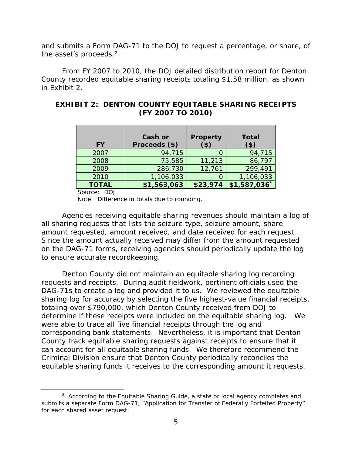and submits a Form DAG-71 to the DOJ to request a percentage, or share, of the asset's proceeds.<sup>[2](#page-7-0)</sup>

From FY 2007 to 2010, the DOJ detailed distribution report for Denton County recorded equitable sharing receipts totaling \$1.58 million, as shown in Exhibit 2.

| <b>FY</b>    | <b>Cash or</b><br>Proceeds (\$) | <b>Property</b><br>(3) | <b>Total</b><br>$($ \$) |
|--------------|---------------------------------|------------------------|-------------------------|
| 2007         | 94,715                          |                        | 94,715                  |
| 2008         | 75,585                          | 11,213                 | 86,797                  |
| 2009         | 286,730                         | 12,761                 | 299,491                 |
| 2010         | 1,106,033                       |                        | 1,106,033               |
| <b>TOTAL</b> | \$1,563,063                     | \$23,974               | \$1,587,036             |

### **EXHIBIT 2: DENTON COUNTY EQUITABLE SHARING RECEIPTS (FY 2007 TO 2010)**

Source: DOJ

Note: Difference in totals due to rounding.

Agencies receiving equitable sharing revenues should maintain a log of all sharing requests that lists the seizure type, seizure amount, share amount requested, amount received, and date received for each request. Since the amount actually received may differ from the amount requested on the DAG-71 forms, receiving agencies should periodically update the log to ensure accurate recordkeeping.

Denton County did not maintain an equitable sharing log recording requests and receipts. During audit fieldwork, pertinent officials used the DAG-71s to create a log and provided it to us. We reviewed the equitable sharing log for accuracy by selecting the five highest-value financial receipts, totaling over \$790,000, which Denton County received from DOJ to determine if these receipts were included on the equitable sharing log. We were able to trace all five financial receipts through the log and corresponding bank statements. Nevertheless, it is important that Denton County track equitable sharing requests against receipts to ensure that it can account for all equitable sharing funds. We therefore recommend the Criminal Division ensure that Denton County periodically reconciles the equitable sharing funds it receives to the corresponding amount it requests.

<span id="page-7-0"></span> $\overline{\phantom{a}}$  2  $A^2$  According to the Equitable Sharing Guide, a state or local agency completes and submits a separate Form DAG-71, "Application for Transfer of Federally Forfeited Property" for each shared asset request.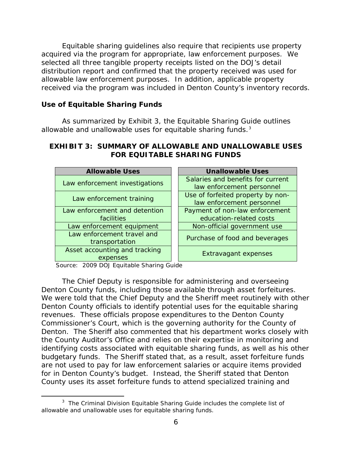Equitable sharing guidelines also require that recipients use property acquired via the program for appropriate, law enforcement purposes. We selected all three tangible property receipts listed on the DOJ's detail distribution report and confirmed that the property received was used for allowable law enforcement purposes. In addition, applicable property received via the program was included in Denton County's inventory records.

### **Use of Equitable Sharing Funds**

As summarized by Exhibit 3, the Equitable Sharing Guide outlines allowable and unallowable uses for equitable sharing funds.<sup>[3](#page-8-0)</sup>

### **EXHIBIT 3: SUMMARY OF ALLOWABLE AND UNALLOWABLE USES FOR EQUITABLE SHARING FUNDS**

| <b>Allowable Uses</b>          | <b>Unallowable Uses</b>           |  |
|--------------------------------|-----------------------------------|--|
| Law enforcement investigations | Salaries and benefits for current |  |
|                                | law enforcement personnel         |  |
| Law enforcement training       | Use of forfeited property by non- |  |
|                                | law enforcement personnel         |  |
| Law enforcement and detention  | Payment of non-law enforcement    |  |
| facilities                     | education-related costs           |  |
| Law enforcement equipment      | Non-official government use       |  |
| Law enforcement travel and     | Purchase of food and beverages    |  |
| transportation                 |                                   |  |
| Asset accounting and tracking  | <b>Extravagant expenses</b>       |  |
| expenses                       |                                   |  |

Source: 2009 DOJ Equitable Sharing Guide

The Chief Deputy is responsible for administering and overseeing Denton County funds, including those available through asset forfeitures. We were told that the Chief Deputy and the Sheriff meet routinely with other Denton County officials to identify potential uses for the equitable sharing revenues. These officials propose expenditures to the Denton County Commissioner's Court, which is the governing authority for the County of Denton. The Sheriff also commented that his department works closely with the County Auditor's Office and relies on their expertise in monitoring and identifying costs associated with equitable sharing funds, as well as his other budgetary funds. The Sheriff stated that, as a result, asset forfeiture funds are not used to pay for law enforcement salaries or acquire items provided for in Denton County's budget. Instead, the Sheriff stated that Denton County uses its asset forfeiture funds to attend specialized training and

<span id="page-8-0"></span> $\overline{\phantom{a}}$  3  $3$  The Criminal Division Equitable Sharing Guide includes the complete list of allowable and unallowable uses for equitable sharing funds.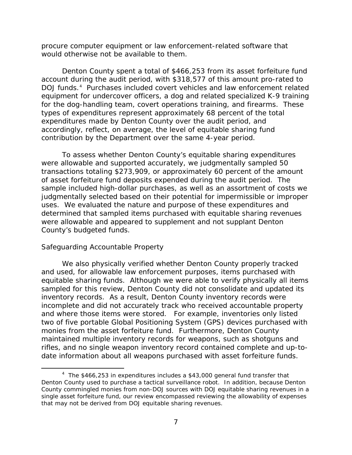procure computer equipment or law enforcement-related software that would otherwise not be available to them.

Denton County spent a total of \$466,253 from its asset forfeiture fund account during the audit period, with \$318,577 of this amount pro-rated to DOJ funds.<sup>[4](#page-9-0)</sup> Purchases included covert vehicles and law enforcement related equipment for undercover officers, a dog and related specialized K-9 training for the dog-handling team, covert operations training, and firearms. These types of expenditures represent approximately 68 percent of the total expenditures made by Denton County over the audit period, and accordingly, reflect, on average, the level of equitable sharing fund contribution by the Department over the same 4-year period.

To assess whether Denton County's equitable sharing expenditures were allowable and supported accurately, we judgmentally sampled 50 transactions totaling \$273,909, or approximately 60 percent of the amount of asset forfeiture fund deposits expended during the audit period. The sample included high-dollar purchases, as well as an assortment of costs we judgmentally selected based on their potential for impermissible or improper uses. We evaluated the nature and purpose of these expenditures and determined that sampled items purchased with equitable sharing revenues were allowable and appeared to supplement and not supplant Denton County's budgeted funds.

#### *Safeguarding Accountable Property*

We also physically verified whether Denton County properly tracked and used, for allowable law enforcement purposes, items purchased with equitable sharing funds. Although we were able to verify physically all items sampled for this review, Denton County did not consolidate and updated its inventory records. As a result, Denton County inventory records were incomplete and did not accurately track who received accountable property and where those items were stored. For example, inventories only listed two of five portable Global Positioning System (GPS) devices purchased with monies from the asset forfeiture fund. Furthermore, Denton County maintained multiple inventory records for weapons, such as shotguns and rifles, and no single weapon inventory record contained complete and up-todate information about all weapons purchased with asset forfeiture funds.

<span id="page-9-0"></span> $\frac{1}{4}$  $4$  The \$466,253 in expenditures includes a \$43,000 general fund transfer that Denton County used to purchase a tactical surveillance robot. In addition, because Denton County commingled monies from non-DOJ sources with DOJ equitable sharing revenues in a single asset forfeiture fund, our review encompassed reviewing the allowability of expenses that may not be derived from DOJ equitable sharing revenues.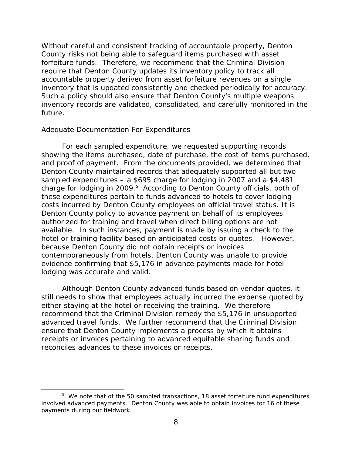Without careful and consistent tracking of accountable property, Denton County risks not being able to safeguard items purchased with asset forfeiture funds. Therefore, we recommend that the Criminal Division require that Denton County updates its inventory policy to track all accountable property derived from asset forfeiture revenues on a single inventory that is updated consistently and checked periodically for accuracy. Such a policy should also ensure that Denton County's multiple weapons inventory records are validated, consolidated, and carefully monitored in the future.

#### *Adequate Documentation For Expenditures*

For each sampled expenditure, we requested supporting records showing the items purchased, date of purchase, the cost of items purchased, and proof of payment. From the documents provided, we determined that Denton County maintained records that adequately supported all but two sampled expenditures – a \$695 charge for lodging in 2007 and a \$4,481 charge for lodging in 2009.<sup>5</sup> According to Denton County officials, both of these expenditures pertain to funds advanced to hotels to cover lodging costs incurred by Denton County employees on official travel status. It is Denton County policy to advance payment on behalf of its employees authorized for training and travel when direct billing options are not available. In such instances, payment is made by issuing a check to the hotel or training facility based on anticipated costs or quotes. However, because Denton County did not obtain receipts or invoices contemporaneously from hotels, Denton County was unable to provide evidence confirming that \$5,176 in advance payments made for hotel lodging was accurate and valid.

Although Denton County advanced funds based on vendor quotes, it still needs to show that employees actually incurred the expense quoted by either staying at the hotel or receiving the training. We therefore recommend that the Criminal Division remedy the \$5,176 in unsupported advanced travel funds. We further recommend that the Criminal Division ensure that Denton County implements a process by which it obtains receipts or invoices pertaining to advanced equitable sharing funds and reconciles advances to these invoices or receipts.

<span id="page-10-0"></span> $\frac{1}{5}$  $5\,$  We note that of the 50 sampled transactions, 18 asset forfeiture fund expenditures involved advanced payments. Denton County was able to obtain invoices for 16 of these payments during our fieldwork.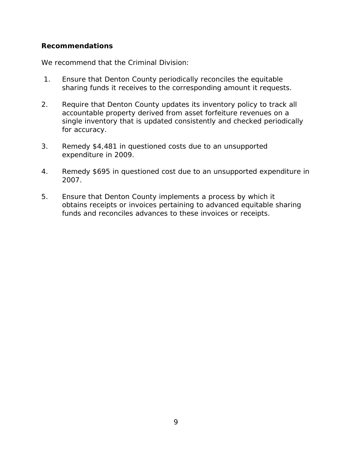#### **Recommendations**

We recommend that the Criminal Division:

- 1. Ensure that Denton County periodically reconciles the equitable sharing funds it receives to the corresponding amount it requests.
- 2. Require that Denton County updates its inventory policy to track all accountable property derived from asset forfeiture revenues on a single inventory that is updated consistently and checked periodically for accuracy.
- 3. Remedy \$4,481 in questioned costs due to an unsupported expenditure in 2009.
- 4. Remedy \$695 in questioned cost due to an unsupported expenditure in 2007.
- 5. Ensure that Denton County implements a process by which it obtains receipts or invoices pertaining to advanced equitable sharing funds and reconciles advances to these invoices or receipts.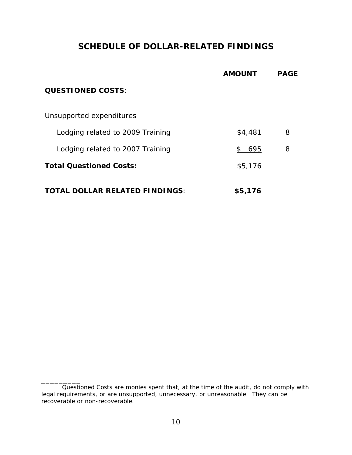## **SCHEDULE OF DOLLAR-RELATED FINDINGS**

|                                       | <b>AMOUNT</b> | <b>PAGE</b> |
|---------------------------------------|---------------|-------------|
| <b>QUESTIONED COSTS:</b>              |               |             |
| Unsupported expenditures              |               |             |
| Lodging related to 2009 Training      | \$4,481       | 8           |
| Lodging related to 2007 Training      | 695<br>\$     | 8           |
| <b>Total Questioned Costs:</b>        | \$5,176       |             |
| <b>TOTAL DOLLAR RELATED FINDINGS:</b> | \$5,176       |             |

\_\_\_\_\_\_\_\_\_

*Questioned Costs* are monies spent that, at the time of the audit, do not comply with legal requirements, or are unsupported, unnecessary, or unreasonable. They can be recoverable or non-recoverable.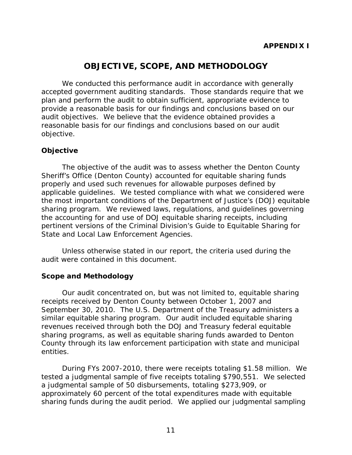## **OBJECTIVE, SCOPE, AND METHODOLOGY**

We conducted this performance audit in accordance with generally accepted government auditing standards. Those standards require that we plan and perform the audit to obtain sufficient, appropriate evidence to provide a reasonable basis for our findings and conclusions based on our audit objectives. We believe that the evidence obtained provides a reasonable basis for our findings and conclusions based on our audit objective.

#### **Objective**

The objective of the audit was to assess whether the Denton County Sheriff's Office (Denton County) accounted for equitable sharing funds properly and used such revenues for allowable purposes defined by applicable guidelines. We tested compliance with what we considered were the most important conditions of the Department of Justice's (DOJ) equitable sharing program. We reviewed laws, regulations, and guidelines governing the accounting for and use of DOJ equitable sharing receipts, including pertinent versions of the Criminal Division's *Guide to Equitable Sharing for State and Local Law Enforcement Agencies*.

Unless otherwise stated in our report, the criteria used during the audit were contained in this document.

#### **Scope and Methodology**

Our audit concentrated on, but was not limited to, equitable sharing receipts received by Denton County between October 1, 2007 and September 30, 2010. The U.S. Department of the Treasury administers a similar equitable sharing program. Our audit included equitable sharing revenues received through both the DOJ and Treasury federal equitable sharing programs, as well as equitable sharing funds awarded to Denton County through its law enforcement participation with state and municipal entities.

During FYs 2007-2010, there were receipts totaling \$1.58 million. We tested a judgmental sample of five receipts totaling \$790,551. We selected a judgmental sample of 50 disbursements, totaling \$273,909, or approximately 60 percent of the total expenditures made with equitable sharing funds during the audit period. We applied our judgmental sampling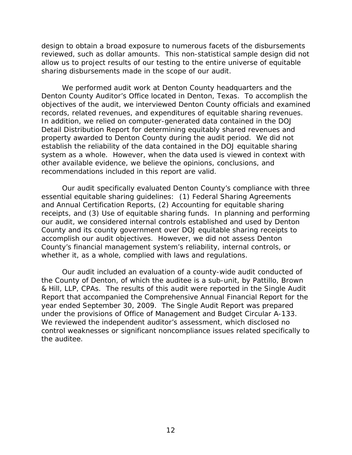design to obtain a broad exposure to numerous facets of the disbursements reviewed, such as dollar amounts. This non-statistical sample design did not allow us to project results of our testing to the entire universe of equitable sharing disbursements made in the scope of our audit.

We performed audit work at Denton County headquarters and the Denton County Auditor's Office located in Denton, Texas. To accomplish the objectives of the audit, we interviewed Denton County officials and examined records, related revenues, and expenditures of equitable sharing revenues. In addition, we relied on computer-generated data contained in the DOJ Detail Distribution Report for determining equitably shared revenues and property awarded to Denton County during the audit period. We did not establish the reliability of the data contained in the DOJ equitable sharing system as a whole. However, when the data used is viewed in context with other available evidence, we believe the opinions, conclusions, and recommendations included in this report are valid.

Our audit specifically evaluated Denton County's compliance with three essential equitable sharing guidelines: (1) Federal Sharing Agreements and Annual Certification Reports, (2) Accounting for equitable sharing receipts, and (3) Use of equitable sharing funds. In planning and performing our audit, we considered internal controls established and used by Denton County and its county government over DOJ equitable sharing receipts to accomplish our audit objectives. However, we did not assess Denton County's financial management system's reliability, internal controls, or whether it, as a whole, complied with laws and regulations.

Our audit included an evaluation of a county-wide audit conducted of the County of Denton, of which the auditee is a sub-unit, by Pattillo, Brown & Hill, LLP, CPAs. The results of this audit were reported in the Single Audit Report that accompanied the Comprehensive Annual Financial Report for the year ended September 30, 2009. The Single Audit Report was prepared under the provisions of Office of Management and Budget Circular A-133. We reviewed the independent auditor's assessment, which disclosed no control weaknesses or significant noncompliance issues related specifically to the auditee.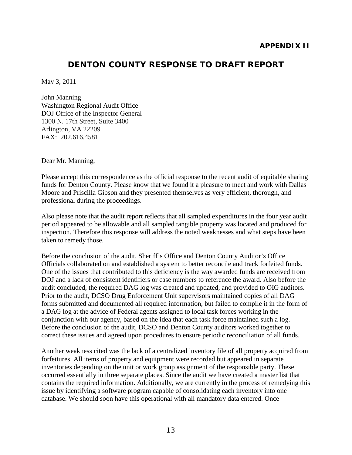### **DENTON COUNTY RESPONSE TO DRAFT REPORT**

May 3, 2011

John Manning Washington Regional Audit Office DOJ Office of the Inspector General 1300 N. 17th Street, Suite 3400 Arlington, VA 22209 FAX: 202.616.4581

Dear Mr. Manning,

Please accept this correspondence as the official response to the recent audit of equitable sharing funds for Denton County. Please know that we found it a pleasure to meet and work with Dallas Moore and Priscilla Gibson and they presented themselves as very efficient, thorough, and professional during the proceedings.

Also please note that the audit report reflects that all sampled expenditures in the four year audit period appeared to be allowable and all sampled tangible property was located and produced for inspection. Therefore this response will address the noted weaknesses and what steps have been taken to remedy those.

Before the conclusion of the audit, Sheriff's Office and Denton County Auditor's Office Officials collaborated on and established a system to better reconcile and track forfeited funds. One of the issues that contributed to this deficiency is the way awarded funds are received from DOJ and a lack of consistent identifiers or case numbers to reference the award. Also before the audit concluded, the required DAG log was created and updated, and provided to OIG auditors. Prior to the audit, DCSO Drug Enforcement Unit supervisors maintained copies of all DAG forms submitted and documented all required information, but failed to compile it in the form of a DAG log at the advice of Federal agents assigned to local task forces working in the conjunction with our agency, based on the idea that each task force maintained such a log. Before the conclusion of the audit, DCSO and Denton County auditors worked together to correct these issues and agreed upon procedures to ensure periodic reconciliation of all funds.

Another weakness cited was the lack of a centralized inventory file of all property acquired from forfeitures. All items of property and equipment were recorded but appeared in separate inventories depending on the unit or work group assignment of the responsible party. These occurred essentially in three separate places. Since the audit we have created a master list that contains the required information. Additionally, we are currently in the process of remedying this issue by identifying a software program capable of consolidating each inventory into one database. We should soon have this operational with all mandatory data entered. Once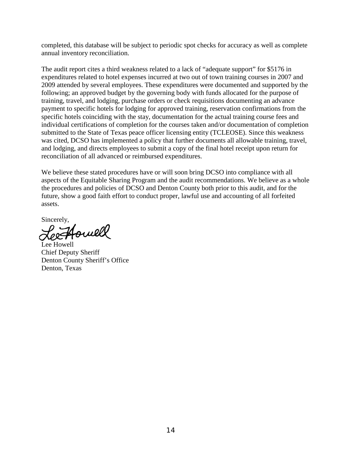completed, this database will be subject to periodic spot checks for accuracy as well as complete annual inventory reconciliation.

The audit report cites a third weakness related to a lack of "adequate support" for \$5176 in expenditures related to hotel expenses incurred at two out of town training courses in 2007 and 2009 attended by several employees. These expenditures were documented and supported by the following; an approved budget by the governing body with funds allocated for the purpose of training, travel, and lodging, purchase orders or check requisitions documenting an advance payment to specific hotels for lodging for approved training, reservation confirmations from the specific hotels coinciding with the stay, documentation for the actual training course fees and individual certifications of completion for the courses taken and/or documentation of completion submitted to the State of Texas peace officer licensing entity (TCLEOSE). Since this weakness was cited, DCSO has implemented a policy that further documents all allowable training, travel, and lodging, and directs employees to submit a copy of the final hotel receipt upon return for reconciliation of all advanced or reimbursed expenditures.

We believe these stated procedures have or will soon bring DCSO into compliance with all aspects of the Equitable Sharing Program and the audit recommendations. We believe as a whole the procedures and policies of DCSO and Denton County both prior to this audit, and for the future, show a good faith effort to conduct proper, lawful use and accounting of all forfeited assets.

Sincerely,

Jouill

Lee Howell Chief Deputy Sheriff Denton County Sheriff's Office Denton, Texas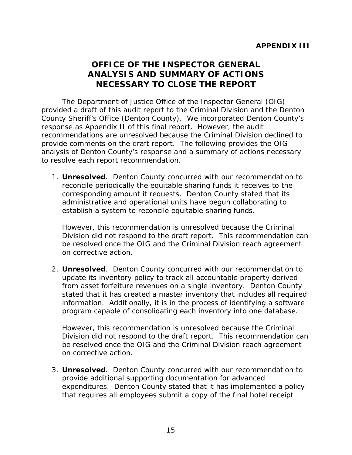## **OFFICE OF THE INSPECTOR GENERAL ANALYSIS AND SUMMARY OF ACTIONS NECESSARY TO CLOSE THE REPORT**

The Department of Justice Office of the Inspector General (OIG) provided a draft of this audit report to the Criminal Division and the Denton County Sheriff's Office (Denton County). We incorporated Denton County's response as Appendix II of this final report. However, the audit recommendations are unresolved because the Criminal Division declined to provide comments on the draft report. The following provides the OIG analysis of Denton County's response and a summary of actions necessary to resolve each report recommendation.

1. **Unresolved**. Denton County concurred with our recommendation to reconcile periodically the equitable sharing funds it receives to the corresponding amount it requests. Denton County stated that its administrative and operational units have begun collaborating to establish a system to reconcile equitable sharing funds.

However, this recommendation is unresolved because the Criminal Division did not respond to the draft report. This recommendation can be resolved once the OIG and the Criminal Division reach agreement on corrective action.

2. **Unresolved**. Denton County concurred with our recommendation to update its inventory policy to track all accountable property derived from asset forfeiture revenues on a single inventory. Denton County stated that it has created a master inventory that includes all required information. Additionally, it is in the process of identifying a software program capable of consolidating each inventory into one database.

However, this recommendation is unresolved because the Criminal Division did not respond to the draft report. This recommendation can be resolved once the OIG and the Criminal Division reach agreement on corrective action.

3. **Unresolved**. Denton County concurred with our recommendation to provide additional supporting documentation for advanced expenditures. Denton County stated that it has implemented a policy that requires all employees submit a copy of the final hotel receipt